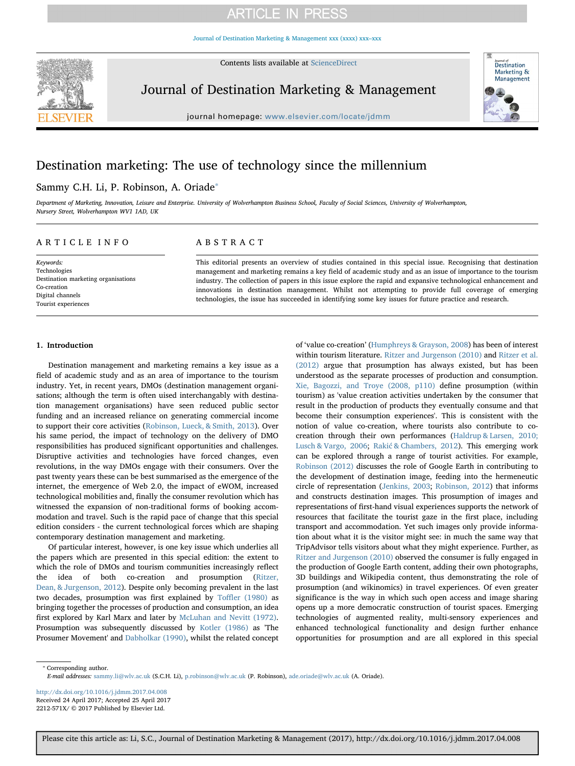## **ARTICLE IN PRESS**

[Journal of Destination Marketing & Management xxx \(xxxx\) xxx–xxx](http://dx.doi.org/10.1016/j.jdmm.2017.04.008)

Contents lists available at [ScienceDirect](http://www.sciencedirect.com/science/journal/2212571X)



Journal of Destination Marketing & Management



journal homepage: [www.elsevier.com/locate/jdmm](http://www.elsevier.com/locate/jdmm)

## Destination marketing: The use of technology since the millennium

### Sammy C.H. Li, P. Robinson, A. Oriade<sup>®</sup>

Department of Marketing, Innovation, Leisure and Enterprise. University of Wolverhampton Business School, Faculty of Social Sciences, University of Wolverhampton, Nursery Street, Wolverhampton WV1 1AD, UK

#### ARTICLE INFO

Keywords: Technologies Destination marketing organisations Co-creation Digital channels Tourist experiences

#### ABSTRACT

This editorial presents an overview of studies contained in this special issue. Recognising that destination management and marketing remains a key field of academic study and as an issue of importance to the tourism industry. The collection of papers in this issue explore the rapid and expansive technological enhancement and innovations in destination management. Whilst not attempting to provide full coverage of emerging technologies, the issue has succeeded in identifying some key issues for future practice and research.

#### 1. Introduction

Destination management and marketing remains a key issue as a field of academic study and as an area of importance to the tourism industry. Yet, in recent years, DMOs (destination management organisations; although the term is often uised interchangably with destination management organisations) have seen reduced public sector funding and an increased reliance on generating commercial income to support their core activities (Robinson, Lueck, & Smith, 2013). Over his same period, the impact of technology on the delivery of DMO responsibilities has produced significant opportunities and challenges. Disruptive activities and technologies have forced changes, even revolutions, in the way DMOs engage with their consumers. Over the past twenty years these can be best summarised as the emergence of the internet, the emergence of Web 2.0, the impact of eWOM, increased technological mobilities and, finally the consumer revolution which has witnessed the expansion of non-traditional forms of booking accommodation and travel. Such is the rapid pace of change that this special edition considers - the current technological forces which are shaping contemporary destination management and marketing.

Of particular interest, however, is one key issue which underlies all the papers which are presented in this special edition: the extent to which the role of DMOs and tourism communities increasingly reflect the idea of both co-creation and prosumption (Ritzer, Dean, & Jurgenson, 2012). Despite only becoming prevalent in the last two decades, prosumption was first explained by Toffler (1980) as bringing together the processes of production and consumption, an idea first explored by Karl Marx and later by McLuhan and Nevitt (1972). Prosumption was subsequently discussed by Kotler (1986) as 'The Prosumer Movement' and Dabholkar (1990), whilst the related concept of 'value co-creation' (Humphreys & Grayson, 2008) has been of interest within tourism literature. Ritzer and Jurgenson (2010) and Ritzer et al. (2012) argue that prosumption has always existed, but has been understood as the separate processes of production and consumption. Xie, Bagozzi, and Troye (2008, p110) define prosumption (within tourism) as 'value creation activities undertaken by the consumer that result in the production of products they eventually consume and that become their consumption experiences'. This is consistent with the notion of value co-creation, where tourists also contribute to cocreation through their own performances (Haldrup & Larsen, 2010; Lusch & Vargo, 2006; Rakić & Chambers, 2012). This emerging work can be explored through a range of tourist activities. For example, Robinson (2012) discusses the role of Google Earth in contributing to the development of destination image, feeding into the hermeneutic circle of representation (Jenkins, 2003; Robinson, 2012) that informs and constructs destination images. This prosumption of images and representations of first-hand visual experiences supports the network of resources that facilitate the tourist gaze in the first place, including transport and accommodation. Yet such images only provide information about what it is the visitor might see: in much the same way that TripAdvisor tells visitors about what they might experience. Further, as Ritzer and Jurgenson (2010) observed the consumer is fully engaged in the production of Google Earth content, adding their own photographs, 3D buildings and Wikipedia content, thus demonstrating the role of prosumption (and wikinomics) in travel experiences. Of even greater significance is the way in which such open access and image sharing opens up a more democratic construction of tourist spaces. Emerging technologies of augmented reality, multi-sensory experiences and enhanced technological functionality and design further enhance opportunities for prosumption and are all explored in this special

⁎ Corresponding author. E-mail addresses: [sammy.li@wlv.ac.uk](mailto:sammy.li@wlv.ac.uk) (S.C.H. Li), [p.robinson@wlv.ac.uk](mailto:p.robinson@wlv.ac.uk) (P. Robinson), [ade.oriade@wlv.ac.uk](mailto:ade.oriade@wlv.ac.uk) (A. Oriade).

<http://dx.doi.org/10.1016/j.jdmm.2017.04.008> Received 24 April 2017; Accepted 25 April 2017 2212-571X/ © 2017 Published by Elsevier Ltd.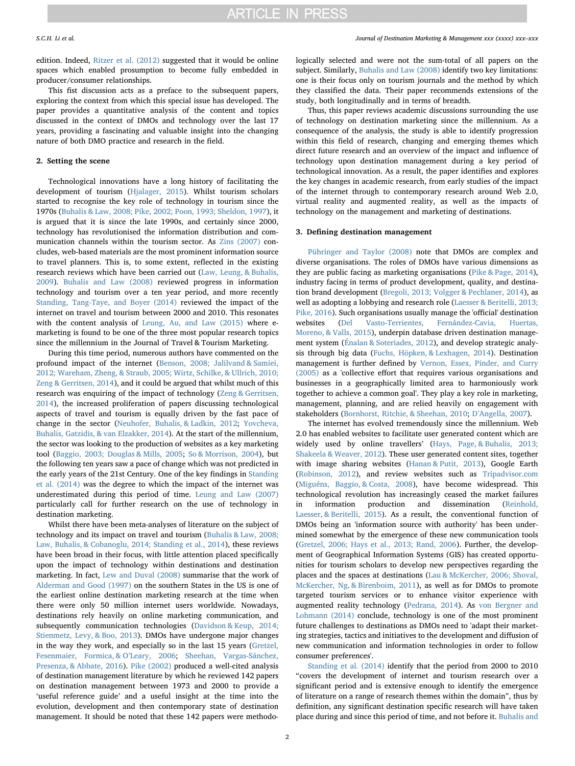edition. Indeed, Ritzer et al. (2012) suggested that it would be online spaces which enabled prosumption to become fully embedded in producer/consumer relationships.

This fist discussion acts as a preface to the subsequent papers, exploring the context from which this special issue has developed. The paper provides a quantitative analysis of the content and topics discussed in the context of DMOs and technology over the last 17 years, providing a fascinating and valuable insight into the changing nature of both DMO practice and research in the field.

#### 2. Setting the scene

Technological innovations have a long history of facilitating the development of tourism (Hjalager, 2015). Whilst tourism scholars started to recognise the key role of technology in tourism since the 1970s (Buhalis & Law, 2008; Pike, 2002; Poon, 1993; Sheldon, 1997), it is argued that it is since the late 1990s, and certainly since 2000, technology has revolutionised the information distribution and communication channels within the tourism sector. As Zins (2007) concludes, web-based materials are the most prominent information source to travel planners. This is, to some extent, reflected in the existing research reviews which have been carried out (Law, Leung, & Buhalis, 2009). Buhalis and Law (2008) reviewed progress in information technology and tourism over a ten year period, and more recently Standing, Tang-Taye, and Boyer (2014) reviewed the impact of the internet on travel and tourism between 2000 and 2010. This resonates with the content analysis of Leung, Au, and Law (2015) where emarketing is found to be one of the three most popular research topics since the millennium in the Journal of Travel & Tourism Marketing.

During this time period, numerous authors have commented on the profound impact of the internet (Benson, 2008; Jalilvand & Samiei, 2012; Wareham, Zheng, & Straub, 2005; Wirtz, Schilke, & Ullrich, 2010; Zeng & Gerritsen, 2014), and it could be argued that whilst much of this research was enquiring of the impact of technology (Zeng & Gerritsen, 2014), the increased proliferation of papers discussing technological aspects of travel and tourism is equally driven by the fast pace of change in the sector (Neuhofer, Buhalis, & Ladkin, 2012; Yovcheva, Buhalis, Gatzidis, & van Elzakker, 2014). At the start of the millennium, the sector was looking to the production of websites as a key marketing tool (Baggio, 2003; Douglas & Mills, 2005; So & Morrison, 2004), but the following ten years saw a pace of change which was not predicted in the early years of the 21st Century. One of the key findings in Standing et al. (2014) was the degree to which the impact of the internet was underestimated during this period of time. Leung and Law (2007) particularly call for further research on the use of technology in destination marketing.

Whilst there have been meta-analyses of literature on the subject of technology and its impact on travel and tourism (Buhalis & Law, 2008; Law, Buhalis, & Cobanoglu, 2014; Standing et al., 2014), these reviews have been broad in their focus, with little attention placed specifically upon the impact of technology within destinations and destination marketing. In fact, Lew and Duval (2008) summarise that the work of Alderman and Good (1997) on the southern States in the US is one of the earliest online destination marketing research at the time when there were only 50 million internet users worldwide. Nowadays, destinations rely heavily on online marketing communication, and subsequently communication technologies (Davidson & Keup, 2014; Stienmetz, Levy, & Boo, 2013). DMOs have undergone major changes in the way they work, and especially so in the last 15 years (Gretzel, Fesenmaier, Formica, & O'Leary, 2006; Sheehan, Vargas-Sánchez, Presenza, & Abbate, 2016). Pike (2002) produced a well-cited analysis of destination management literature by which he reviewed 142 papers on destination management between 1973 and 2000 to provide a 'useful reference guide' and a useful insight at the time into the evolution, development and then contemporary state of destination management. It should be noted that these 142 papers were methodologically selected and were not the sum-total of all papers on the subject. Similarly, Buhalis and Law (2008) identify two key limitations: one is their focus only on tourism journals and the method by which they classified the data. Their paper recommends extensions of the study, both longitudinally and in terms of breadth.

Thus, this paper reviews academic discussions surrounding the use of technology on destination marketing since the millennium. As a consequence of the analysis, the study is able to identify progression within this field of research, changing and emerging themes which direct future research and an overview of the impact and influence of technology upon destination management during a key period of technological innovation. As a result, the paper identifies and explores the key changes in academic research, from early studies of the impact of the internet through to contemporary research around Web 2.0, virtual reality and augmented reality, as well as the impacts of technology on the management and marketing of destinations.

#### 3. Defining destination management

Pühringer and Taylor (2008) note that DMOs are complex and diverse organisations. The roles of DMOs have various dimensions as they are public facing as marketing organisations (Pike & Page, 2014), industry facing in terms of product development, quality, and destination brand development (Bregoli, 2013; Volgger & Pechlaner, 2014), as well as adopting a lobbying and research role (Laesser & Beritelli, 2013; Pike, 2016). Such organisations usually manage the 'official' destination websites (Del Vasto-Terrientes, Fernández-Cavia, Huertas, Moreno, & Valls, 2015), underpin database driven destination management system (Énalan & Soteriades, 2012), and develop strategic analysis through big data (Fuchs, Höpken, & Lexhagen, 2014). Destination management is further defined by Vernon, Essex, Pinder, and Curry (2005) as a 'collective effort that requires various organisations and businesses in a geographically limited area to harmoniously work together to achieve a common goal'. They play a key role in marketing, management, planning, and are relied heavily on engagement with stakeholders (Bornhorst, Ritchie, & Sheehan, 2010; D'Angella, 2007).

The internet has evolved tremendously since the millennium. Web 2.0 has enabled websites to facilitate user generated content which are widely used by online travellers' (Hays, Page, & Buhalis, 2013; Shakeela & Weaver, 2012). These user generated content sites, together with image sharing websites (Hanan & Putit, 2013), Google Earth (Robinson, 2012), and review websites such as [Tripadvisor.com](http://Tripadvisor.com) (Miguéns, Baggio, & Costa, 2008), have become widespread. This technological revolution has increasingly ceased the market failures in information production and dissemination (Reinhold, Laesser, & Beritelli, 2015). As a result, the conventional function of DMOs being an 'information source with authority' has been undermined somewhat by the emergence of these new communication tools (Gretzel, 2006; Hays et al., 2013; Rand, 2006). Further, the development of Geographical Information Systems (GIS) has created opportunities for tourism scholars to develop new perspectives regarding the places and the spaces at destinations (Lau & McKercher, 2006; Shoval, McKercher, Ng, & Birenboim, 2011), as well as for DMOs to promote targeted tourism services or to enhance visitor experience with augmented reality technology (Pedrana, 2014). As von Bergner and Lohmann (2014) conclude, technology is one of the most prominent future challenges to destinations as DMOs need to 'adapt their marketing strategies, tactics and initiatives to the development and diffusion of new communication and information technologies in order to follow consumer preferences'.

Standing et al. (2014) identify that the period from 2000 to 2010 "covers the development of internet and tourism research over a significant period and is extensive enough to identify the emergence of literature on a range of research themes within the domain", thus by definition, any significant destination specific research will have taken place during and since this period of time, and not before it. Buhalis and